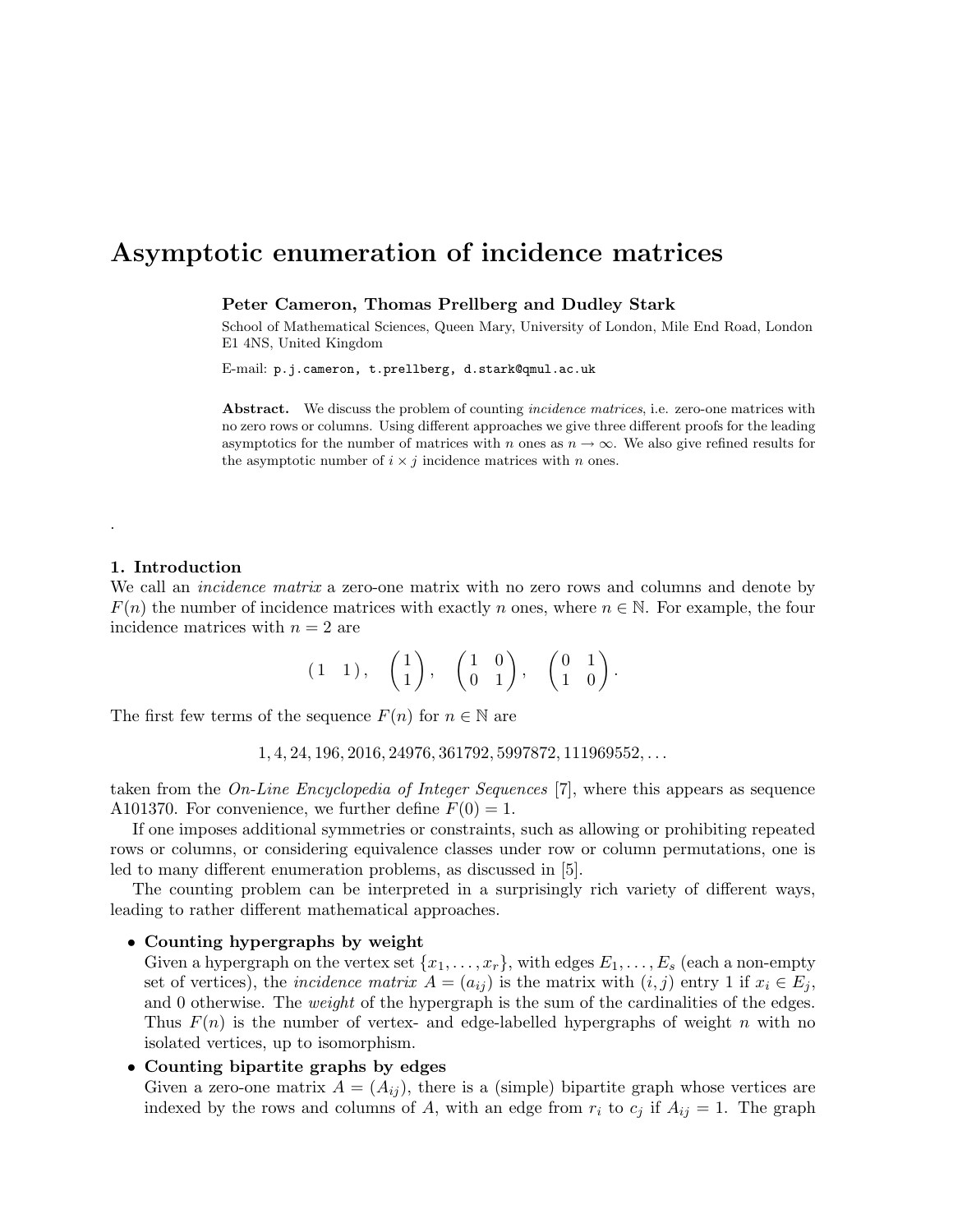# Asymptotic enumeration of incidence matrices

Peter Cameron, Thomas Prellberg and Dudley Stark

School of Mathematical Sciences, Queen Mary, University of London, Mile End Road, London E1 4NS, United Kingdom

E-mail: p.j.cameron, t.prellberg, d.stark@qmul.ac.uk

Abstract. We discuss the problem of counting *incidence matrices*, i.e. zero-one matrices with no zero rows or columns. Using different approaches we give three different proofs for the leading asymptotics for the number of matrices with n ones as  $n \to \infty$ . We also give refined results for the asymptotic number of  $i \times j$  incidence matrices with n ones.

# 1. Introduction

.

We call an *incidence matrix* a zero-one matrix with no zero rows and columns and denote by  $F(n)$  the number of incidence matrices with exactly n ones, where  $n \in \mathbb{N}$ . For example, the four incidence matrices with  $n = 2$  are

$$
(1 \quad 1), \quad \begin{pmatrix} 1 \\ 1 \end{pmatrix}, \quad \begin{pmatrix} 1 & 0 \\ 0 & 1 \end{pmatrix}, \quad \begin{pmatrix} 0 & 1 \\ 1 & 0 \end{pmatrix}.
$$

The first few terms of the sequence  $F(n)$  for  $n \in \mathbb{N}$  are

 $1, 4, 24, 196, 2016, 24976, 361792, 5997872, 111969552, \ldots$ 

taken from the *On-Line Encyclopedia of Integer Sequences* [7], where this appears as sequence A101370. For convenience, we further define  $F(0) = 1$ .

If one imposes additional symmetries or constraints, such as allowing or prohibiting repeated rows or columns, or considering equivalence classes under row or column permutations, one is led to many different enumeration problems, as discussed in [5].

The counting problem can be interpreted in a surprisingly rich variety of different ways, leading to rather different mathematical approaches.

## • Counting hypergraphs by weight

Given a hypergraph on the vertex set  $\{x_1, \ldots, x_r\}$ , with edges  $E_1, \ldots, E_s$  (each a non-empty set of vertices), the *incidence matrix*  $A = (a_{ij})$  is the matrix with  $(i, j)$  entry 1 if  $x_i \in E_j$ , and 0 otherwise. The *weight* of the hypergraph is the sum of the cardinalities of the edges. Thus  $F(n)$  is the number of vertex- and edge-labelled hypergraphs of weight n with no isolated vertices, up to isomorphism.

## • Counting bipartite graphs by edges

Given a zero-one matrix  $A = (A_{ij})$ , there is a (simple) bipartite graph whose vertices are indexed by the rows and columns of A, with an edge from  $r_i$  to  $c_j$  if  $A_{ij} = 1$ . The graph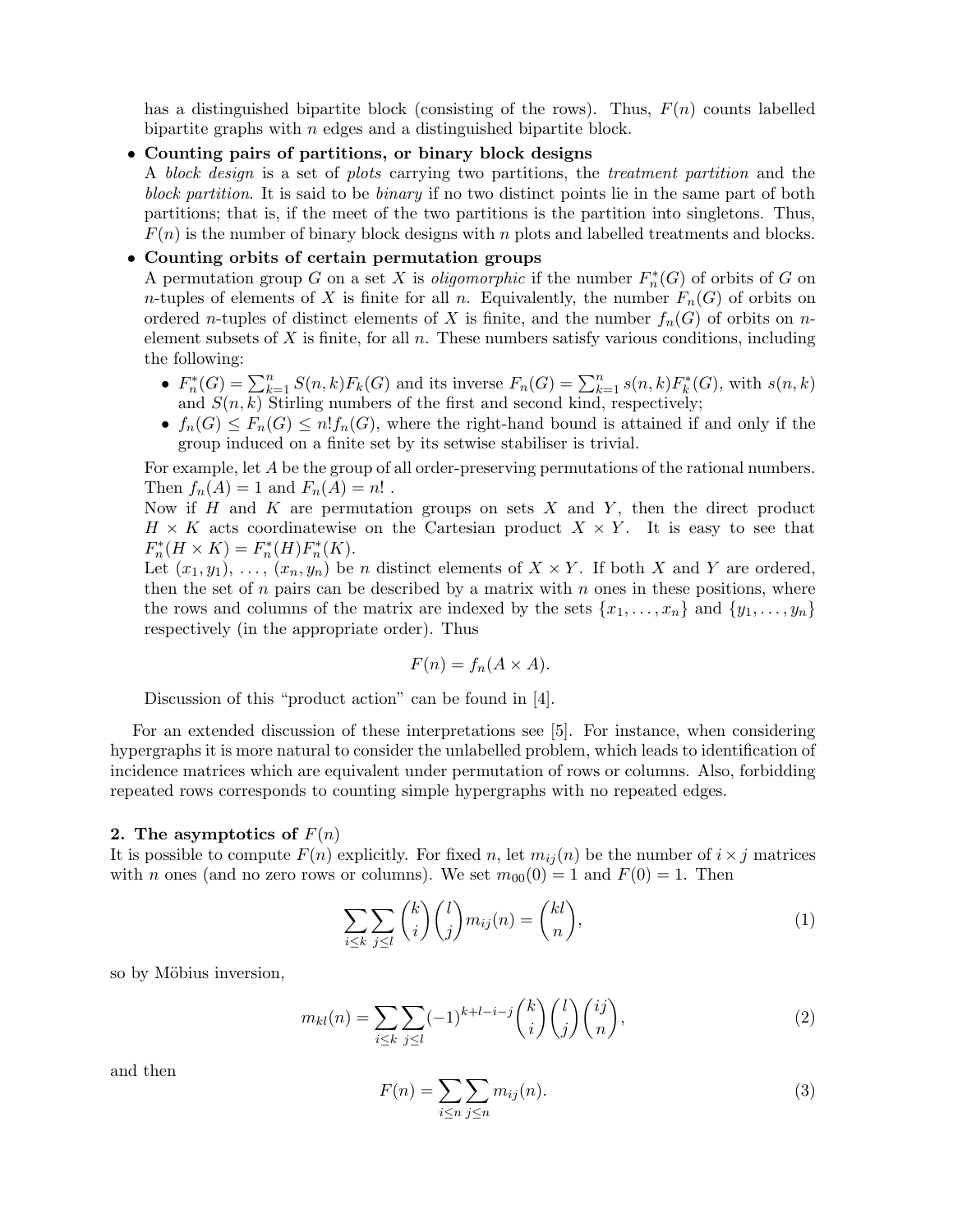has a distinguished bipartite block (consisting of the rows). Thus,  $F(n)$  counts labelled bipartite graphs with  $n$  edges and a distinguished bipartite block.

• Counting pairs of partitions, or binary block designs

A block design is a set of plots carrying two partitions, the treatment partition and the block partition. It is said to be binary if no two distinct points lie in the same part of both partitions; that is, if the meet of the two partitions is the partition into singletons. Thus,  $F(n)$  is the number of binary block designs with n plots and labelled treatments and blocks.

# • Counting orbits of certain permutation groups

A permutation group G on a set X is *oligomorphic* if the number  $F_n^*(G)$  of orbits of G on *n*-tuples of elements of X is finite for all *n*. Equivalently, the number  $F_n(G)$  of orbits on ordered *n*-tuples of distinct elements of X is finite, and the number  $f_n(G)$  of orbits on *n*element subsets of X is finite, for all  $n$ . These numbers satisfy various conditions, including the following:

- $F_n^*(G) = \sum_{k=1}^n S(n,k)F_k(G)$  and its inverse  $F_n(G) = \sum_{k=1}^n s(n,k)F_k^*(G)$ , with  $s(n,k)$ and  $S(n, k)$  Stirling numbers of the first and second kind, respectively;
- $f_n(G) \leq F_n(G) \leq n! f_n(G)$ , where the right-hand bound is attained if and only if the group induced on a finite set by its setwise stabiliser is trivial.

For example, let A be the group of all order-preserving permutations of the rational numbers. Then  $f_n(A) = 1$  and  $F_n(A) = n!$ .

Now if  $H$  and  $K$  are permutation groups on sets  $X$  and  $Y$ , then the direct product  $H \times K$  acts coordinatewise on the Cartesian product  $X \times Y$ . It is easy to see that  $F_n^*(H \times K) = F_n^*(H)F_n^*(K).$ 

Let  $(x_1, y_1), \ldots, (x_n, y_n)$  be n distinct elements of  $X \times Y$ . If both X and Y are ordered, then the set of  $n$  pairs can be described by a matrix with  $n$  ones in these positions, where the rows and columns of the matrix are indexed by the sets  $\{x_1, \ldots, x_n\}$  and  $\{y_1, \ldots, y_n\}$ respectively (in the appropriate order). Thus

$$
F(n) = f_n(A \times A).
$$

Discussion of this "product action" can be found in [4].

For an extended discussion of these interpretations see [5]. For instance, when considering hypergraphs it is more natural to consider the unlabelled problem, which leads to identification of incidence matrices which are equivalent under permutation of rows or columns. Also, forbidding repeated rows corresponds to counting simple hypergraphs with no repeated edges.

### 2. The asymptotics of  $F(n)$

It is possible to compute  $F(n)$  explicitly. For fixed n, let  $m_{ij}(n)$  be the number of  $i \times j$  matrices with n ones (and no zero rows or columns). We set  $m_{00}(0) = 1$  and  $F(0) = 1$ . Then

$$
\sum_{i \le k} \sum_{j \le l} {k \choose i} {l \choose j} m_{ij}(n) = {kl \choose n}, \tag{1}
$$

so by Möbius inversion,

$$
m_{kl}(n) = \sum_{i \le k} \sum_{j \le l} (-1)^{k+l-i-j} \binom{k}{i} \binom{l}{j} \binom{ij}{n},\tag{2}
$$

and then

$$
F(n) = \sum_{i \le n} \sum_{j \le n} m_{ij}(n). \tag{3}
$$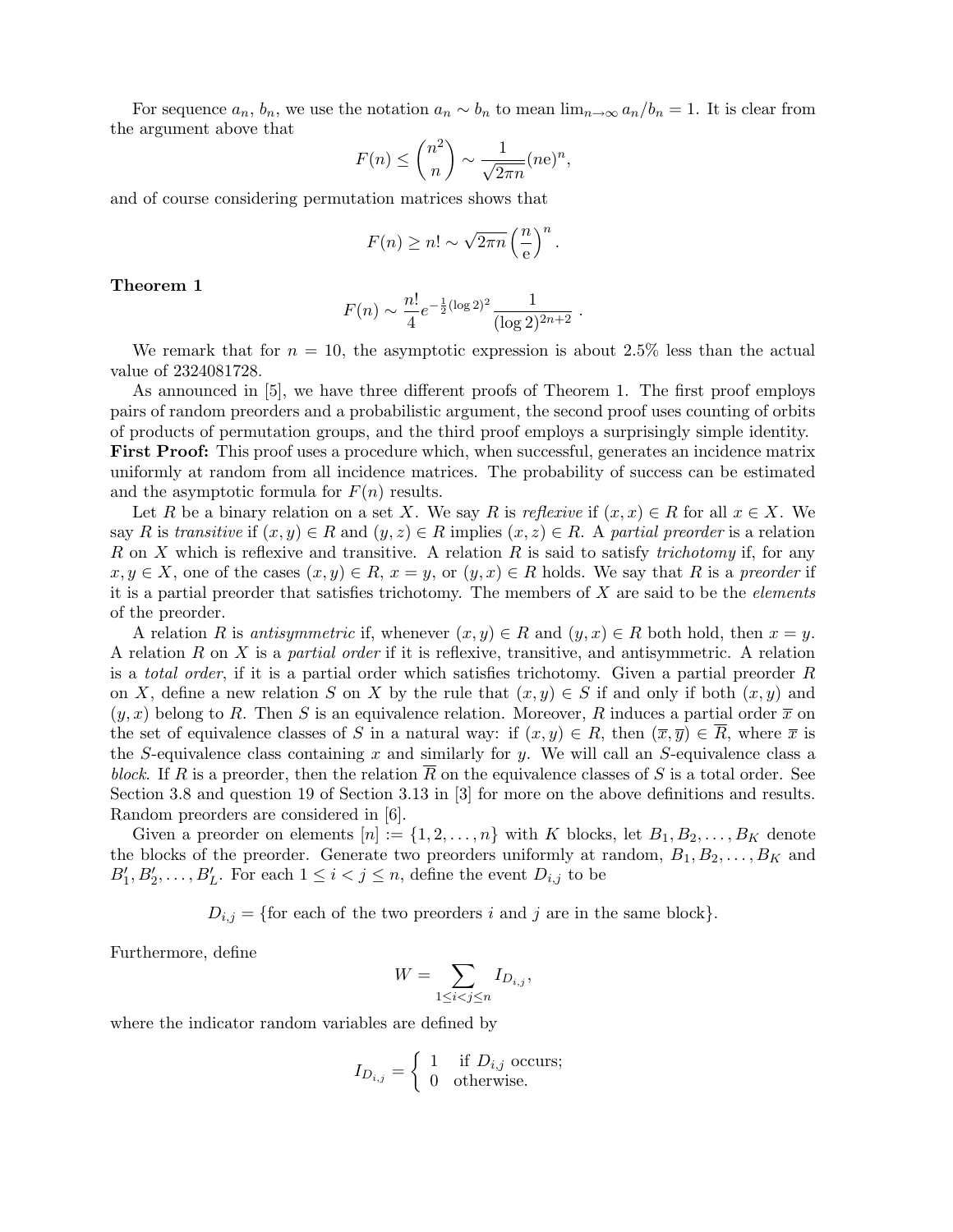For sequence  $a_n$ ,  $b_n$ , we use the notation  $a_n \sim b_n$  to mean  $\lim_{n\to\infty} a_n/b_n = 1$ . It is clear from the argument above that

$$
F(n) \le \binom{n^2}{n} \sim \frac{1}{\sqrt{2\pi n}} (n e)^n,
$$

and of course considering permutation matrices shows that

$$
F(n) \ge n! \sim \sqrt{2\pi n} \left(\frac{n}{e}\right)^n.
$$

Theorem 1

$$
F(n) \sim \frac{n!}{4} e^{-\frac{1}{2}(\log 2)^2} \frac{1}{(\log 2)^{2n+2}}.
$$

We remark that for  $n = 10$ , the asymptotic expression is about 2.5% less than the actual value of 2324081728.

As announced in [5], we have three different proofs of Theorem 1. The first proof employs pairs of random preorders and a probabilistic argument, the second proof uses counting of orbits of products of permutation groups, and the third proof employs a surprisingly simple identity. First Proof: This proof uses a procedure which, when successful, generates an incidence matrix uniformly at random from all incidence matrices. The probability of success can be estimated and the asymptotic formula for  $F(n)$  results.

Let R be a binary relation on a set X. We say R is reflexive if  $(x, x) \in R$  for all  $x \in X$ . We say R is transitive if  $(x, y) \in R$  and  $(y, z) \in R$  implies  $(x, z) \in R$ . A partial preorder is a relation R on X which is reflexive and transitive. A relation R is said to satisfy *trichotomy* if, for any  $x, y \in X$ , one of the cases  $(x, y) \in R$ ,  $x = y$ , or  $(y, x) \in R$  holds. We say that R is a preorder if it is a partial preorder that satisfies trichotomy. The members of  $X$  are said to be the *elements* of the preorder.

A relation R is antisymmetric if, whenever  $(x, y) \in R$  and  $(y, x) \in R$  both hold, then  $x = y$ . A relation  $R$  on  $X$  is a *partial order* if it is reflexive, transitive, and antisymmetric. A relation is a *total order*, if it is a partial order which satisfies trichotomy. Given a partial preorder  $R$ on X, define a new relation S on X by the rule that  $(x, y) \in S$  if and only if both  $(x, y)$  and  $(y, x)$  belong to R. Then S is an equivalence relation. Moreover, R induces a partial order  $\bar{x}$  on the set of equivalence classes of S in a natural way: if  $(x, y) \in R$ , then  $(\overline{x}, \overline{y}) \in \overline{R}$ , where  $\overline{x}$  is the S-equivalence class containing x and similarly for y. We will call an S-equivalence class a block. If R is a preorder, then the relation R on the equivalence classes of S is a total order. See Section 3.8 and question 19 of Section 3.13 in [3] for more on the above definitions and results. Random preorders are considered in [6].

Given a preorder on elements  $[n] := \{1, 2, \ldots, n\}$  with K blocks, let  $B_1, B_2, \ldots, B_K$  denote the blocks of the preorder. Generate two preorders uniformly at random,  $B_1, B_2, \ldots, B_K$  and  $B'_1, B'_2, \ldots, B'_L$ . For each  $1 \leq i < j \leq n$ , define the event  $D_{i,j}$  to be

 $D_{i,j} = \{\text{for each of the two preorders } i \text{ and } j \text{ are in the same block}\}.$ 

Furthermore, define

$$
W = \sum_{1 \le i < j \le n} I_{D_{i,j}},
$$

where the indicator random variables are defined by

$$
I_{D_{i,j}} = \begin{cases} 1 & \text{if } D_{i,j} \text{ occurs;} \\ 0 & \text{otherwise.} \end{cases}
$$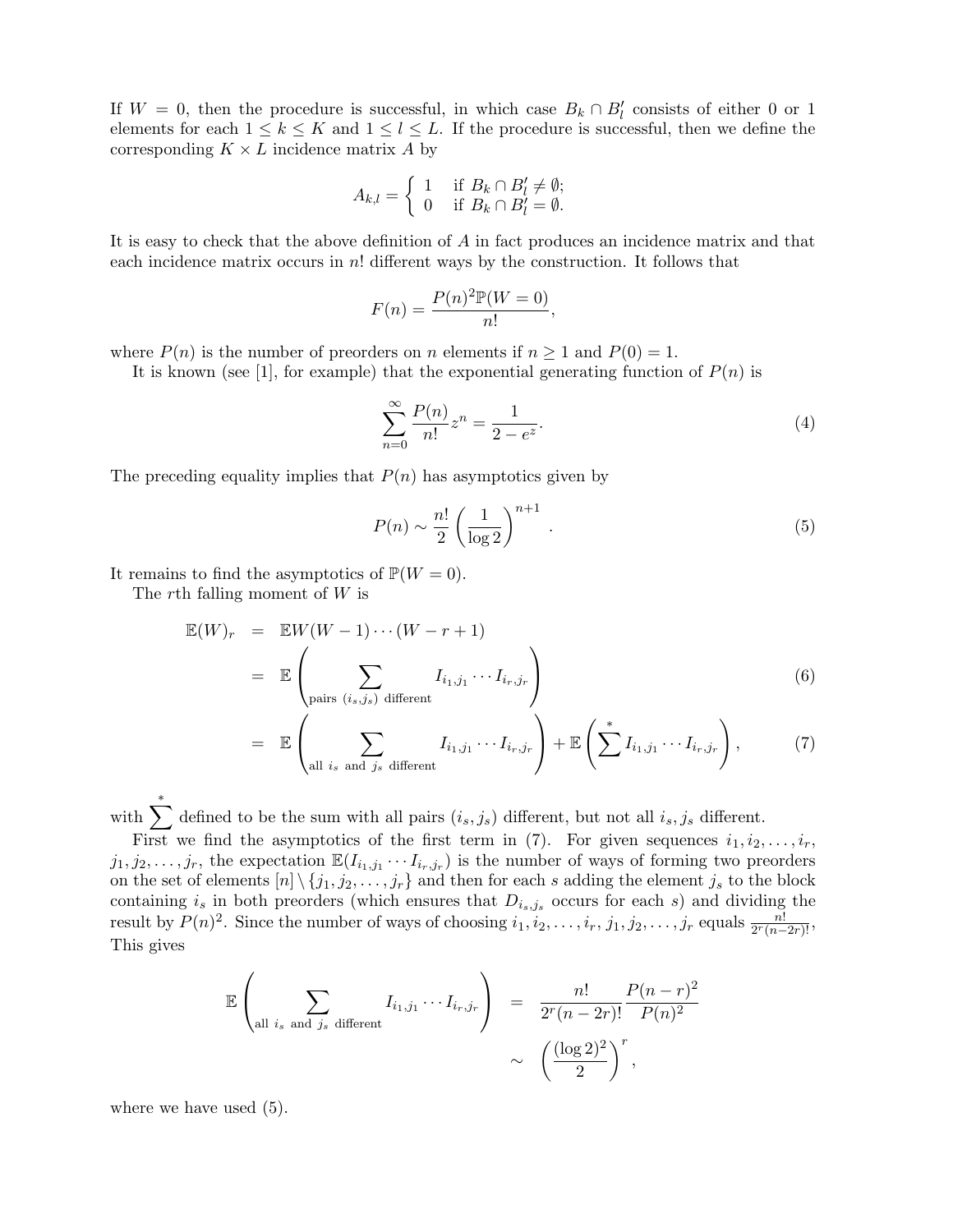If  $W = 0$ , then the procedure is successful, in which case  $B_k \cap B_l'$  consists of either 0 or 1 elements for each  $1 \leq k \leq K$  and  $1 \leq l \leq L$ . If the procedure is successful, then we define the corresponding  $K \times L$  incidence matrix A by

$$
A_{k,l} = \begin{cases} 1 & \text{if } B_k \cap B'_l \neq \emptyset; \\ 0 & \text{if } B_k \cap B'_l = \emptyset. \end{cases}
$$

It is easy to check that the above definition of A in fact produces an incidence matrix and that each incidence matrix occurs in  $n!$  different ways by the construction. It follows that

$$
F(n) = \frac{P(n)^2 \mathbb{P}(W=0)}{n!},
$$

where  $P(n)$  is the number of preorders on n elements if  $n \geq 1$  and  $P(0) = 1$ .

It is known (see [1], for example) that the exponential generating function of  $P(n)$  is

$$
\sum_{n=0}^{\infty} \frac{P(n)}{n!} z^n = \frac{1}{2 - e^z}.
$$
\n(4)

The preceding equality implies that  $P(n)$  has asymptotics given by

$$
P(n) \sim \frac{n!}{2} \left(\frac{1}{\log 2}\right)^{n+1} . \tag{5}
$$

It remains to find the asymptotics of  $\mathbb{P}(W = 0)$ .

The rth falling moment of  $W$  is

$$
\mathbb{E}(W)_r = \mathbb{E}W(W-1)\cdots(W-r+1)
$$
  
= 
$$
\mathbb{E}\left(\sum_{\text{pairs } (i_s,j_s) \text{ different}} I_{i_1,j_1}\cdots I_{i_r,j_r}\right)
$$
 (6)

$$
= \mathbb{E}\left(\sum_{\text{all }i_s \text{ and }j_s \text{ different}} I_{i_1,j_1}\cdots I_{i_r,j_r}\right) + \mathbb{E}\left(\sum^* I_{i_1,j_1}\cdots I_{i_r,j_r}\right),\tag{7}
$$

with  $\sum_{i=1}^{*}$  defined to be the sum with all pairs  $(i_s, j_s)$  different, but not all  $i_s, j_s$  different.

First we find the asymptotics of the first term in (7). For given sequences  $i_1, i_2, \ldots, i_r$ ,  $j_1, j_2, \ldots, j_r$ , the expectation  $\mathbb{E}(I_{i_1,j_1} \cdots I_{i_r,j_r})$  is the number of ways of forming two preorders on the set of elements  $[n] \setminus \{j_1, j_2, \ldots, j_r\}$  and then for each s adding the element  $j_s$  to the block containing  $i_s$  in both preorders (which ensures that  $D_{i_s,j_s}$  occurs for each s) and dividing the result by  $P(n)^2$ . Since the number of ways of choosing  $i_1, i_2, \ldots, i_r, j_1, j_2, \ldots, j_r$  equals  $\frac{n!}{2^r(n-2r)!}$ , This gives

$$
\mathbb{E}\left(\sum_{\text{all }i_s \text{ and }j_s \text{ different}}I_{i_1,j_1}\cdots I_{i_r,j_r}\right) = \frac{n!}{2^r(n-2r)!}\frac{P(n-r)^2}{P(n)^2} \sim \left(\frac{(\log 2)^2}{2}\right)^r,
$$

where we have used (5).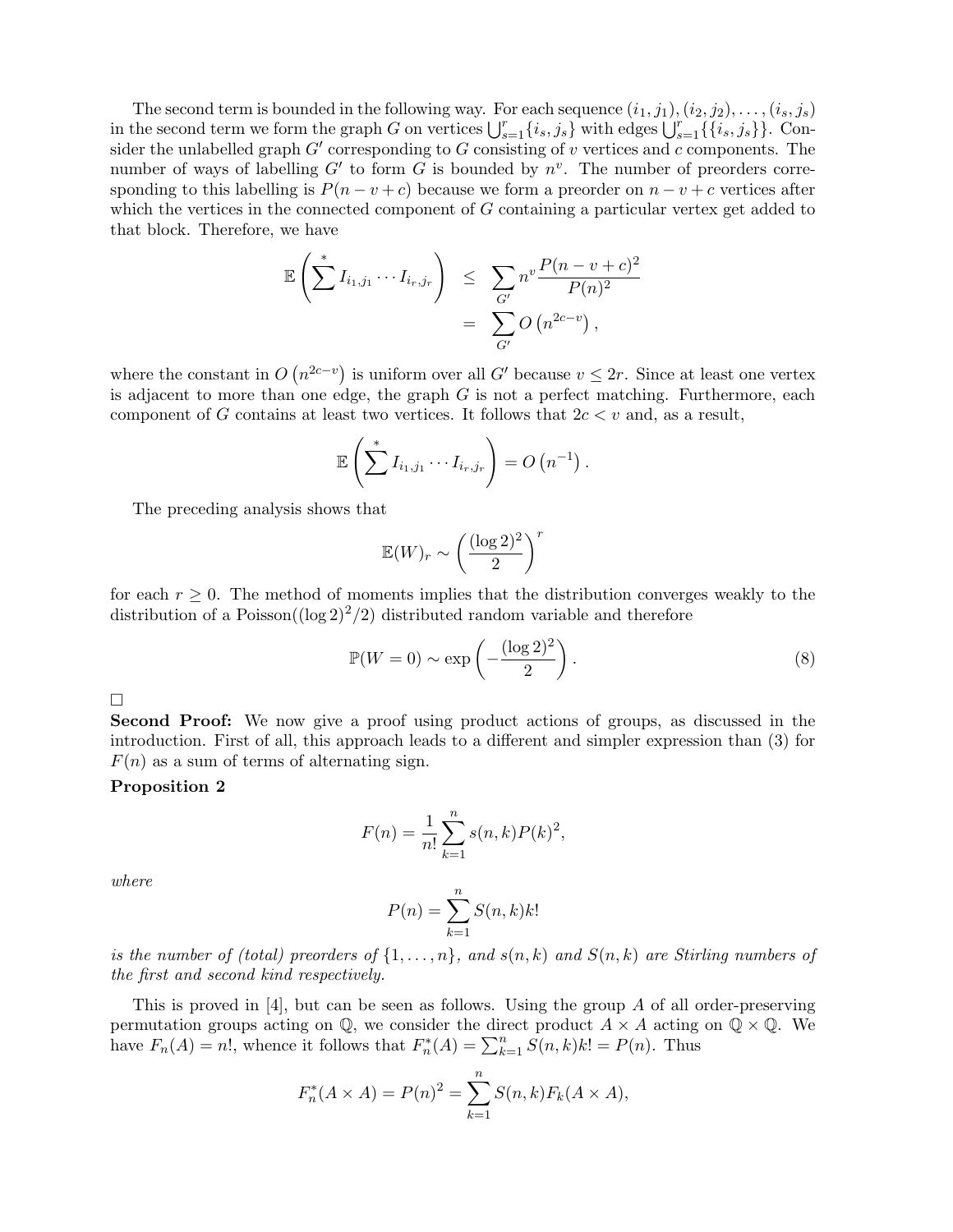The second term is bounded in the following way. For each sequence  $(i_1, j_1), (i_2, j_2), \ldots, (i_s, j_s)$ in the second term we form the graph G on vertices  $\bigcup_{s=1}^r \{i_s, j_s\}$  with edges  $\bigcup_{s=1}^r \{\{i_s, j_s\}\}\)$ . Consider the unlabelled graph  $G'$  corresponding to  $G$  consisting of v vertices and c components. The number of ways of labelling  $G'$  to form G is bounded by  $n^v$ . The number of preorders corresponding to this labelling is  $P(n-v+c)$  because we form a preorder on  $n-v+c$  vertices after which the vertices in the connected component of G containing a particular vertex get added to that block. Therefore, we have

$$
\mathbb{E}\left(\sum_{i=1}^* I_{i_1,j_1}\cdots I_{i_r,j_r}\right) \leq \sum_{G'} n^v \frac{P(n-v+c)^2}{P(n)^2}
$$

$$
= \sum_{G'} O\left(n^{2c-v}\right),
$$

where the constant in  $O(n^{2c-v})$  is uniform over all G' because  $v \le 2r$ . Since at least one vertex is adjacent to more than one edge, the graph  $G$  is not a perfect matching. Furthermore, each component of G contains at least two vertices. It follows that  $2c < v$  and, as a result,

$$
\mathbb{E}\left(\sum^* I_{i_1,j_1}\cdots I_{i_r,j_r}\right)=O\left(n^{-1}\right).
$$

The preceding analysis shows that

$$
\mathbb{E}(W)_r \sim \left(\frac{(\log 2)^2}{2}\right)^r
$$

for each  $r \geq 0$ . The method of moments implies that the distribution converges weakly to the distribution of a Poisson( $(\log 2)^2/2$ ) distributed random variable and therefore

$$
\mathbb{P}(W=0) \sim \exp\left(-\frac{(\log 2)^2}{2}\right). \tag{8}
$$

 $\Box$ 

Second Proof: We now give a proof using product actions of groups, as discussed in the introduction. First of all, this approach leads to a different and simpler expression than (3) for  $F(n)$  as a sum of terms of alternating sign.

# Proposition 2

$$
F(n) = \frac{1}{n!} \sum_{k=1}^{n} s(n,k) P(k)^{2},
$$

where

$$
P(n) = \sum_{k=1}^{n} S(n,k)k!
$$

is the number of (total) preorders of  $\{1,\ldots,n\}$ , and  $s(n,k)$  and  $S(n,k)$  are Stirling numbers of the first and second kind respectively.

This is proved in  $[4]$ , but can be seen as follows. Using the group A of all order-preserving permutation groups acting on  $\mathbb{Q}$ , we consider the direct product  $A \times A$  acting on  $\mathbb{Q} \times \mathbb{Q}$ . We have  $F_n(A) = n!$ , whence it follows that  $F_n^*(A) = \sum_{k=1}^n \hat{S}(n,k)k! = P(n)$ . Thus

$$
F_n^*(A \times A) = P(n)^2 = \sum_{k=1}^n S(n,k) F_k(A \times A),
$$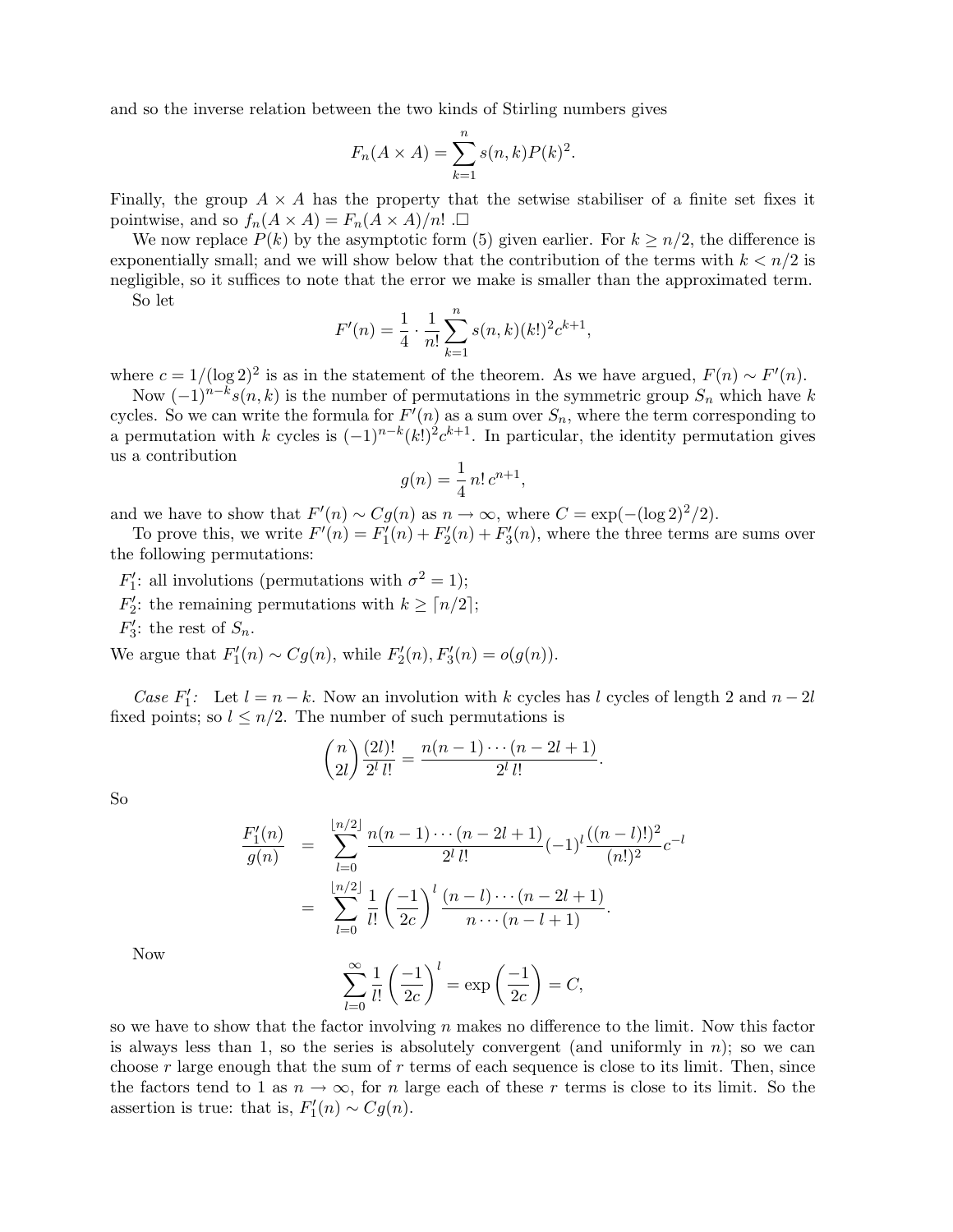and so the inverse relation between the two kinds of Stirling numbers gives

$$
F_n(A \times A) = \sum_{k=1}^n s(n,k)P(k)^2.
$$

Finally, the group  $A \times A$  has the property that the setwise stabiliser of a finite set fixes it pointwise, and so  $f_n(A \times A) = F_n(A \times A)/n!$ .

We now replace  $P(k)$  by the asymptotic form (5) given earlier. For  $k \geq n/2$ , the difference is exponentially small; and we will show below that the contribution of the terms with  $k < n/2$  is negligible, so it suffices to note that the error we make is smaller than the approximated term. So let

$$
F'(n) = \frac{1}{4} \cdot \frac{1}{n!} \sum_{k=1}^{n} s(n,k) (k!)^2 c^{k+1},
$$

where  $c = 1/(\log 2)^2$  is as in the statement of the theorem. As we have argued,  $F(n) \sim F'(n)$ .

Now  $(-1)^{n-k} s(n, k)$  is the number of permutations in the symmetric group  $S_n$  which have k cycles. So we can write the formula for  $F'(n)$  as a sum over  $S_n$ , where the term corresponding to a permutation with k cycles is  $(-1)^{n-k}(k!)^2 c^{k+1}$ . In particular, the identity permutation gives us a contribution

$$
g(n) = \frac{1}{4} n! \, c^{n+1},
$$

and we have to show that  $F'(n) \sim Cg(n)$  as  $n \to \infty$ , where  $C = \exp(-(\log 2)^2/2)$ .

To prove this, we write  $F'(n) = F'_1(n) + F'_2(n) + F'_3(n)$ , where the three terms are sums over the following permutations:

- $F'_1$ : all involutions (permutations with  $\sigma^2 = 1$ );
- $F_2'$ : the remaining permutations with  $k \geq \lceil n/2 \rceil$ ;
- $F_3'$ : the rest of  $S_n$ .

We argue that  $F'_{1}(n) \sim Cg(n)$ , while  $F'_{2}(n)$ ,  $F'_{3}(n) = o(g(n))$ .

Case  $F'_1$ : Let  $l = n - k$ . Now an involution with k cycles has l cycles of length 2 and  $n - 2l$ fixed points; so  $l \leq n/2$ . The number of such permutations is

$$
\binom{n}{2l} \frac{(2l)!}{2^l \, l!} = \frac{n(n-1)\cdots(n-2l+1)}{2^l \, l!}.
$$

So

$$
\frac{F'_1(n)}{g(n)} = \sum_{l=0}^{\lfloor n/2 \rfloor} \frac{n(n-1)\cdots(n-2l+1)}{2^l \, l!} (-1)^l \frac{((n-l)!)^2}{(n!)^2} c^{-l}
$$
\n
$$
= \sum_{l=0}^{\lfloor n/2 \rfloor} \frac{1}{l!} \left(\frac{-1}{2c}\right)^l \frac{(n-l)\cdots(n-2l+1)}{n\cdots(n-l+1)}.
$$

Now

$$
\sum_{l=0}^{\infty} \frac{1}{l!} \left(\frac{-1}{2c}\right)^l = \exp\left(\frac{-1}{2c}\right) = C,
$$

so we have to show that the factor involving  $n$  makes no difference to the limit. Now this factor is always less than 1, so the series is absolutely convergent (and uniformly in  $n$ ); so we can choose  $r$  large enough that the sum of  $r$  terms of each sequence is close to its limit. Then, since the factors tend to 1 as  $n \to \infty$ , for n large each of these r terms is close to its limit. So the assertion is true: that is,  $F_1'(n) \sim Cg(n)$ .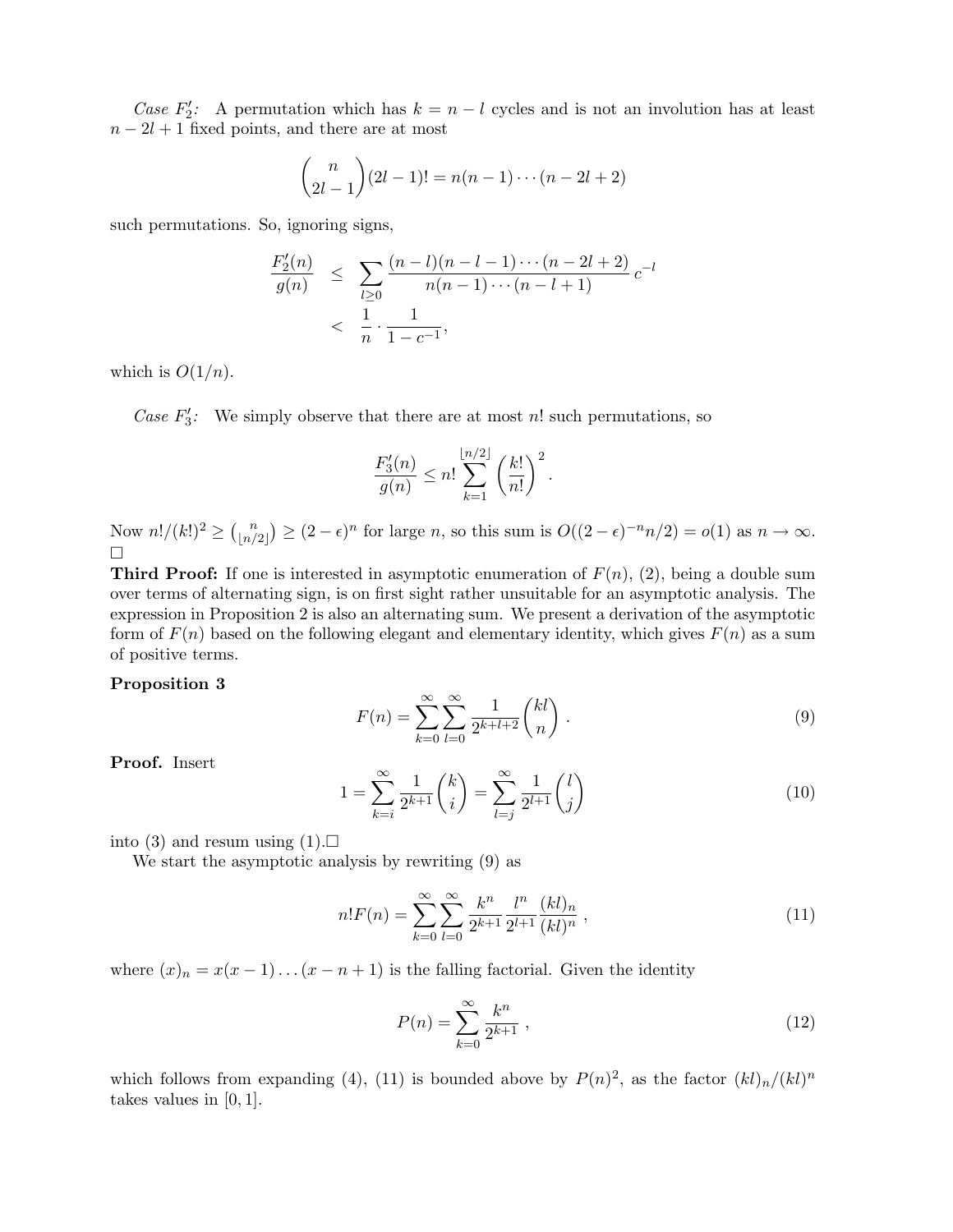Case  $F_2'$ : A permutation which has  $k = n - l$  cycles and is not an involution has at least  $n - 2l + 1$  fixed points, and there are at most

$$
\binom{n}{2l-1}(2l-1)! = n(n-1)\cdots(n-2l+2)
$$

such permutations. So, ignoring signs,

$$
\frac{F_2'(n)}{g(n)} \le \sum_{l \ge 0} \frac{(n-l)(n-l-1)\cdots(n-2l+2)}{n(n-1)\cdots(n-l+1)} c^{-l}
$$
  
< 
$$
< \frac{1}{n} \cdot \frac{1}{1-c^{-1}},
$$

which is  $O(1/n)$ .

Case  $F_3'$ : We simply observe that there are at most n! such permutations, so

$$
\frac{F_3'(n)}{g(n)} \le n! \sum_{k=1}^{\lfloor n/2 \rfloor} \left( \frac{k!}{n!} \right)^2.
$$

Now  $n!/(k!)^2 \geq {n \choose \lfloor n/2 \rfloor}$  $\lfloor n/2 \rfloor$  $\big) \geq (2 - \epsilon)^n$  for large *n*, so this sum is  $O((2 - \epsilon)^{-n}n/2) = o(1)$  as  $n \to \infty$ .  $\Box$ 

**Third Proof:** If one is interested in asymptotic enumeration of  $F(n)$ , (2), being a double sum over terms of alternating sign, is on first sight rather unsuitable for an asymptotic analysis. The expression in Proposition 2 is also an alternating sum. We present a derivation of the asymptotic form of  $F(n)$  based on the following elegant and elementary identity, which gives  $F(n)$  as a sum of positive terms.

### Proposition 3

$$
F(n) = \sum_{k=0}^{\infty} \sum_{l=0}^{\infty} \frac{1}{2^{k+l+2}} \binom{kl}{n} .
$$
 (9)

Proof. Insert

$$
1 = \sum_{k=i}^{\infty} \frac{1}{2^{k+1}} \binom{k}{i} = \sum_{l=j}^{\infty} \frac{1}{2^{l+1}} \binom{l}{j} \tag{10}
$$

into (3) and resum using  $(1)$ .

We start the asymptotic analysis by rewriting (9) as

$$
n!F(n) = \sum_{k=0}^{\infty} \sum_{l=0}^{\infty} \frac{k^n}{2^{k+1}} \frac{l^n}{2^{l+1}} \frac{(kl)_n}{(kl)^n},
$$
\n(11)

where  $(x)_n = x(x-1)...(x-n+1)$  is the falling factorial. Given the identity

$$
P(n) = \sum_{k=0}^{\infty} \frac{k^n}{2^{k+1}},
$$
\n(12)

which follows from expanding (4), (11) is bounded above by  $P(n)^2$ , as the factor  $(kl)_n/(kl)^n$ takes values in [0, 1].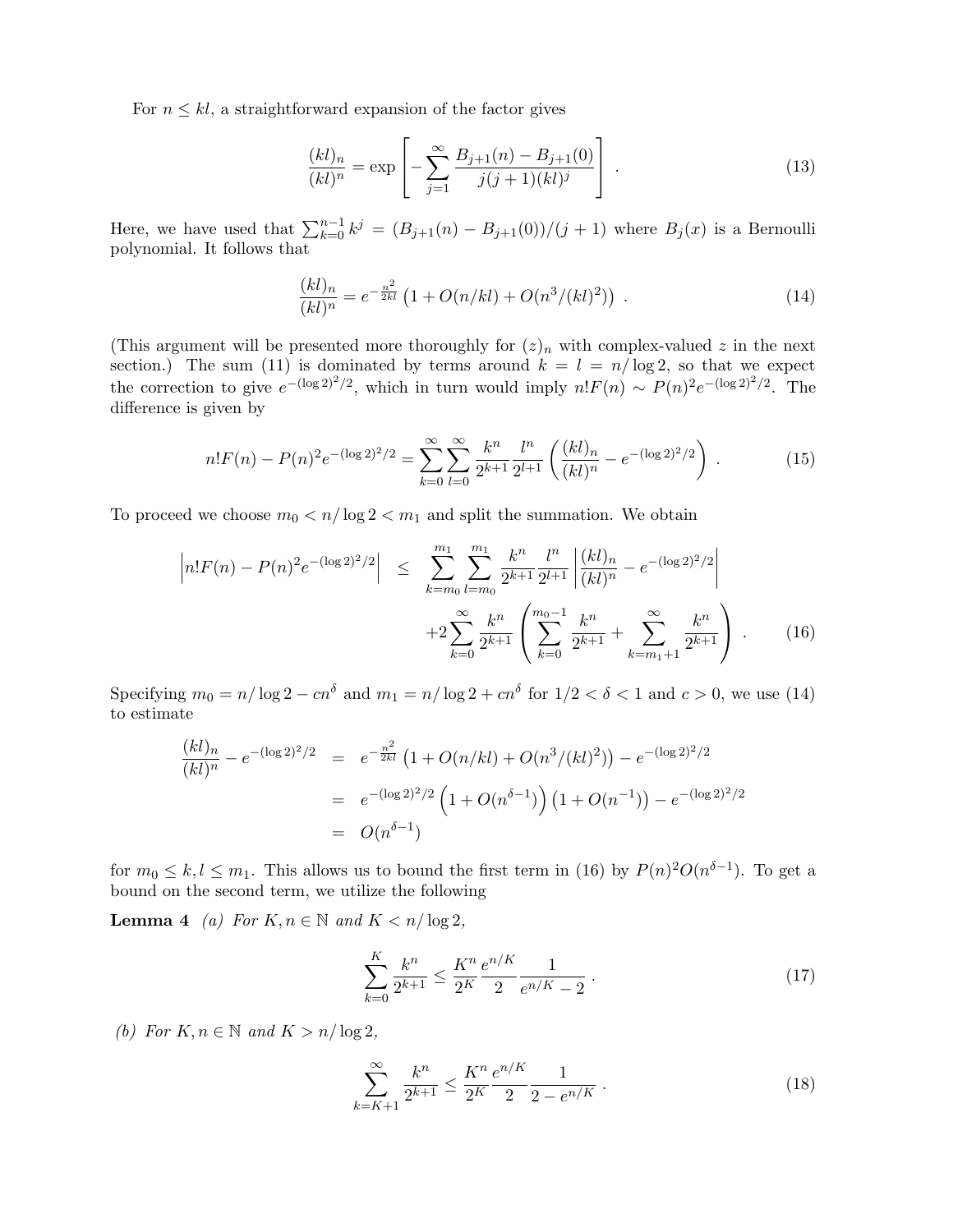For  $n \leq kl$ , a straightforward expansion of the factor gives

$$
\frac{(kl)_n}{(kl)^n} = \exp\left[-\sum_{j=1}^{\infty} \frac{B_{j+1}(n) - B_{j+1}(0)}{j(j+1)(kl)^j}\right].
$$
\n(13)

Here, we have used that  $\sum_{k=0}^{n-1} k^j = (B_{j+1}(n) - B_{j+1}(0))/(j+1)$  where  $B_j(x)$  is a Bernoulli polynomial. It follows that

$$
\frac{(kl)_n}{(kl)^n} = e^{-\frac{n^2}{2kl}} \left( 1 + O(n/kl) + O(n^3/(kl)^2) \right) \,. \tag{14}
$$

(This argument will be presented more thoroughly for  $(z)_n$  with complex-valued z in the next section.) The sum (11) is dominated by terms around  $k = l = n/\log 2$ , so that we expect the correction to give  $e^{-(\log 2)^2/2}$ , which in turn would imply  $n!F(n) \sim P(n)^2 e^{-(\log 2)^2/2}$ . The difference is given by

$$
n!F(n) - P(n)^{2}e^{-(\log 2)^{2}/2} = \sum_{k=0}^{\infty} \sum_{l=0}^{\infty} \frac{k^{n}}{2^{k+1}} \frac{l^{n}}{2^{l+1}} \left(\frac{(kl)_{n}}{(kl)^{n}} - e^{-(\log 2)^{2}/2}\right).
$$
 (15)

To proceed we choose  $m_0 < n/\log 2 < m_1$  and split the summation. We obtain

$$
\left| n!F(n) - P(n)^2 e^{-(\log 2)^2/2} \right| \leq \sum_{k=m_0}^{m_1} \sum_{l=m_0}^{m_1} \frac{k^n}{2^{k+1}} \frac{l^n}{2^{l+1}} \left| \frac{(kl)_n}{(kl)^n} - e^{-(\log 2)^2/2} \right|
$$
  
 
$$
+ 2 \sum_{k=0}^{\infty} \frac{k^n}{2^{k+1}} \left( \sum_{k=0}^{m_0-1} \frac{k^n}{2^{k+1}} + \sum_{k=m_1+1}^{\infty} \frac{k^n}{2^{k+1}} \right) . \tag{16}
$$

Specifying  $m_0 = n/\log 2 - cn^{\delta}$  and  $m_1 = n/\log 2 + cn^{\delta}$  for  $1/2 < \delta < 1$  and  $c > 0$ , we use (14) to estimate

$$
\frac{(kl)_n}{(kl)^n} - e^{-(\log 2)^2/2} = e^{-\frac{n^2}{2kl}} \left( 1 + O(n/kl) + O(n^3/(kl)^2) \right) - e^{-(\log 2)^2/2}
$$
  
=  $e^{-(\log 2)^2/2} \left( 1 + O(n^{\delta - 1}) \right) \left( 1 + O(n^{-1}) \right) - e^{-(\log 2)^2/2}$   
=  $O(n^{\delta - 1})$ 

for  $m_0 \leq k, l \leq m_1$ . This allows us to bound the first term in (16) by  $P(n)^2O(n^{\delta-1})$ . To get a bound on the second term, we utilize the following

**Lemma 4** (a) For  $K, n \in \mathbb{N}$  and  $K < n/\log 2$ ,

$$
\sum_{k=0}^{K} \frac{k^n}{2^{k+1}} \le \frac{K^n}{2^K} \frac{e^{n/K}}{2} \frac{1}{e^{n/K} - 2} \,. \tag{17}
$$

(b) For  $K, n \in \mathbb{N}$  and  $K > n/\log 2$ ,

$$
\sum_{k=K+1}^{\infty} \frac{k^n}{2^{k+1}} \le \frac{K^n}{2^K} \frac{e^{n/K}}{2} \frac{1}{2 - e^{n/K}}.
$$
\n(18)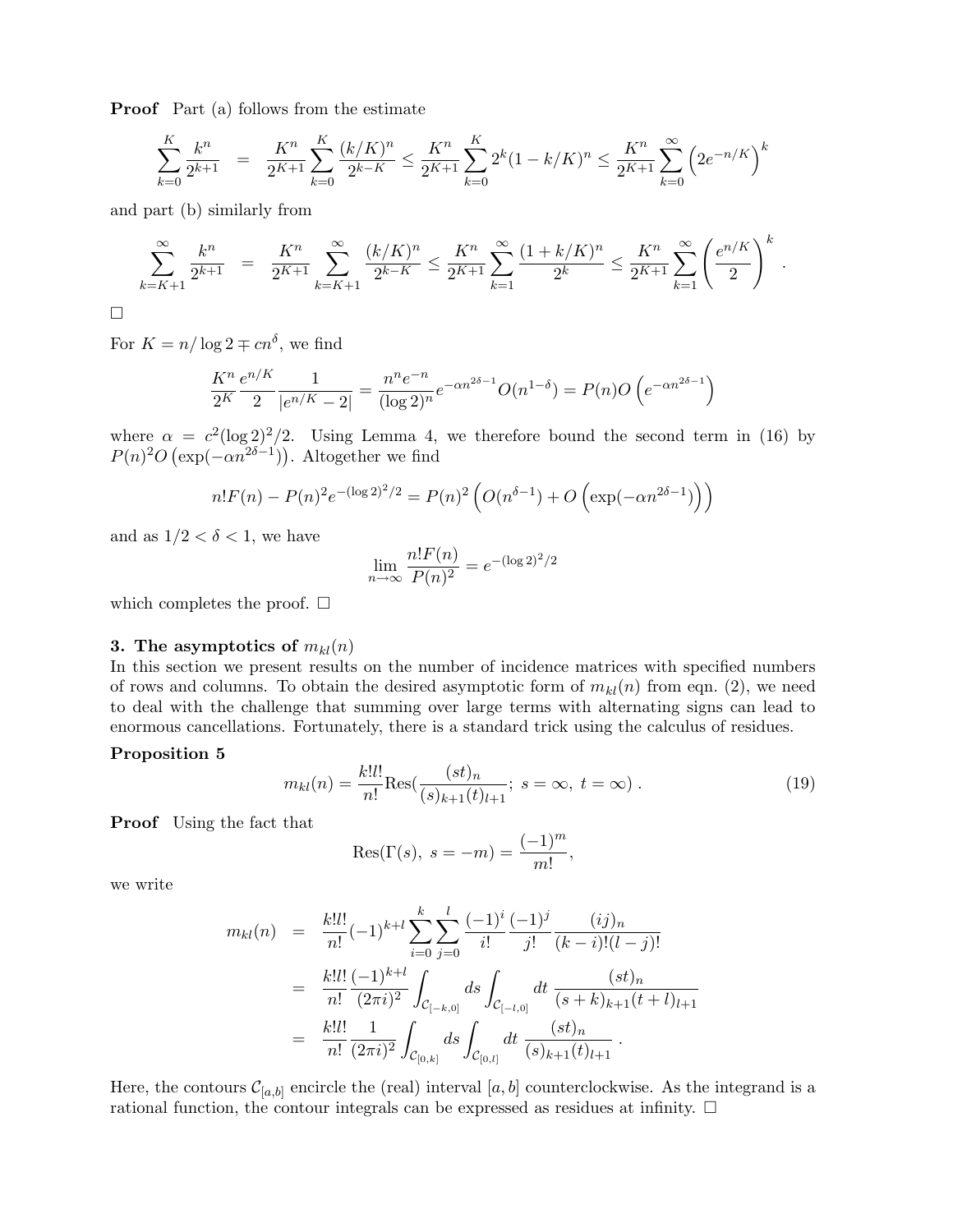**Proof** Part (a) follows from the estimate

$$
\sum_{k=0}^{K} \frac{k^n}{2^{k+1}} = \frac{K^n}{2^{K+1}} \sum_{k=0}^{K} \frac{(k/K)^n}{2^{k-K}} \le \frac{K^n}{2^{K+1}} \sum_{k=0}^{K} 2^k (1 - k/K)^n \le \frac{K^n}{2^{K+1}} \sum_{k=0}^{\infty} \left( 2e^{-n/K} \right)^k
$$

and part (b) similarly from

$$
\sum_{k=K+1}^{\infty} \frac{k^n}{2^{k+1}} = \frac{K^n}{2^{K+1}} \sum_{k=K+1}^{\infty} \frac{(k/K)^n}{2^{k-K}} \le \frac{K^n}{2^{K+1}} \sum_{k=1}^{\infty} \frac{(1+k/K)^n}{2^k} \le \frac{K^n}{2^{K+1}} \sum_{k=1}^{\infty} \left(\frac{e^{n/K}}{2}\right)^k.
$$

 $\Box$ 

For  $K = n/\log 2 \mp cn^{\delta}$ , we find

$$
\frac{K^n}{2^K} \frac{e^{n/K}}{2} \frac{1}{|e^{n/K} - 2|} = \frac{n^n e^{-n}}{(\log 2)^n} e^{-\alpha n^{2\delta - 1}} O(n^{1 - \delta}) = P(n)O\left(e^{-\alpha n^{2\delta - 1}}\right)
$$

where  $\alpha = c^2(\log 2)^2/2$ . Using Lemma 4, we therefore bound the second term in (16) by  $P(n)^2O\left(\exp(-\alpha n^{2\delta-1})\right)$ . Altogether we find

$$
n!F(n) - P(n)^{2}e^{-(\log 2)^{2}/2} = P(n)^{2} \left( O(n^{\delta-1}) + O\left(\exp(-\alpha n^{2\delta-1})\right)\right)
$$

and as  $1/2 < \delta < 1$ , we have

$$
\lim_{n \to \infty} \frac{n! F(n)}{P(n)^2} = e^{-(\log 2)^2/2}
$$

which completes the proof.  $\square$ 

### 3. The asymptotics of  $m_{kl}(n)$

In this section we present results on the number of incidence matrices with specified numbers of rows and columns. To obtain the desired asymptotic form of  $m_{kl}(n)$  from eqn. (2), we need to deal with the challenge that summing over large terms with alternating signs can lead to enormous cancellations. Fortunately, there is a standard trick using the calculus of residues.

## Proposition 5

$$
m_{kl}(n) = \frac{k!l!}{n!} \text{Res}(\frac{(st)_n}{(s)_{k+1}(t)_{l+1}}; \ s = \infty, \ t = \infty) \ . \tag{19}
$$

Proof Using the fact that

$$
Res(\Gamma(s), s = -m) = \frac{(-1)^m}{m!},
$$

we write

$$
m_{kl}(n) = \frac{k!l!}{n!}(-1)^{k+l} \sum_{i=0}^{k} \sum_{j=0}^{l} \frac{(-1)^{i}}{i!} \frac{(-1)^{j}}{j!} \frac{(ij)_{n}}{(k-i)!(l-j)!}
$$
  
\n
$$
= \frac{k!l!}{n!} \frac{(-1)^{k+l}}{(2\pi i)^{2}} \int_{\mathcal{C}_{[-k,0]}} ds \int_{\mathcal{C}_{[-l,0]}} dt \frac{(st)_{n}}{(s+k)_{k+1}(t+l)_{l+1}}
$$
  
\n
$$
= \frac{k!l!}{n!} \frac{1}{(2\pi i)^{2}} \int_{\mathcal{C}_{[0,k]}} ds \int_{\mathcal{C}_{[0,l]}} dt \frac{(st)_{n}}{(s)_{k+1}(t)_{l+1}}.
$$

Here, the contours  $\mathcal{C}_{[a,b]}$  encircle the (real) interval  $[a,b]$  counterclockwise. As the integrand is a rational function, the contour integrals can be expressed as residues at infinity.  $\Box$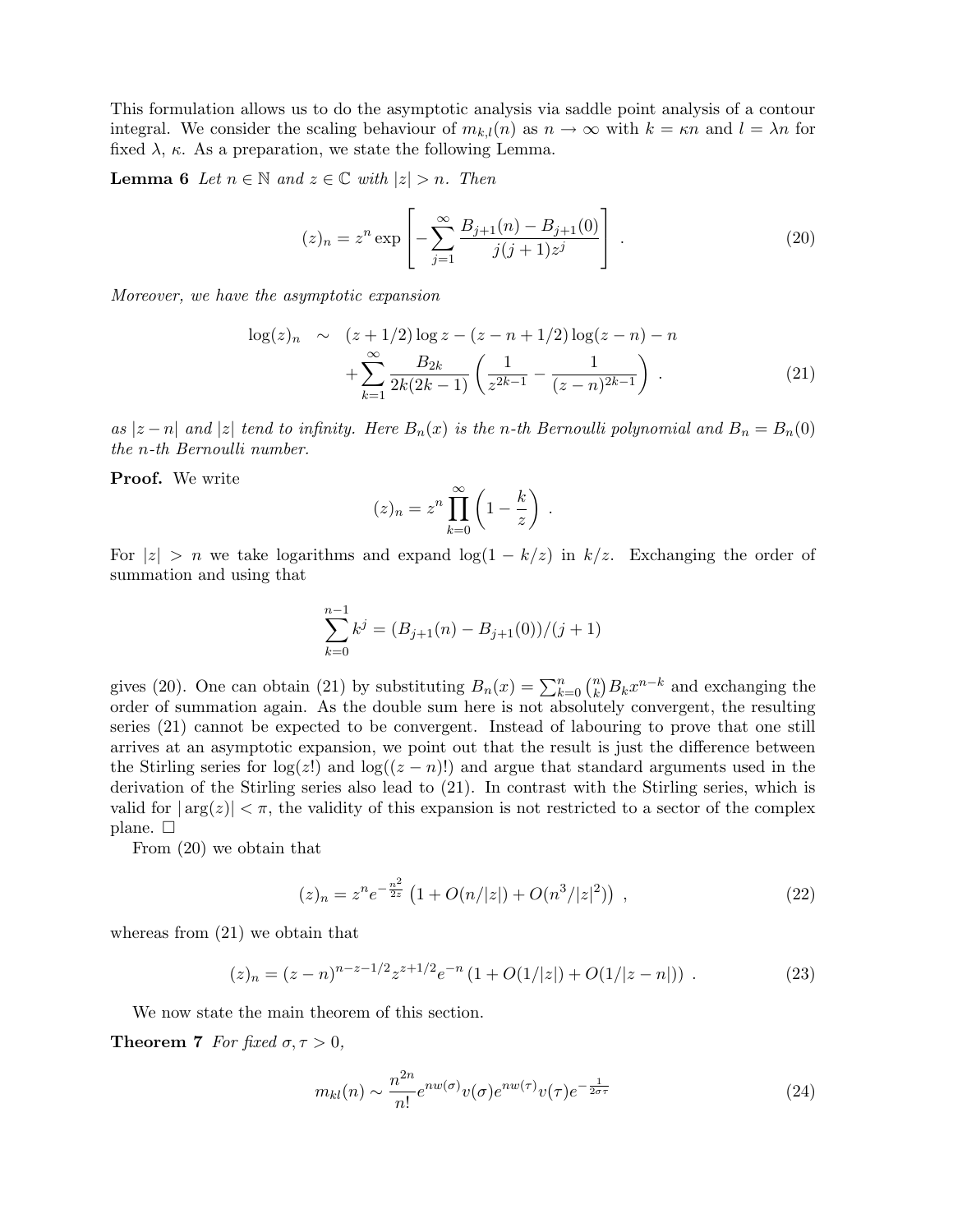This formulation allows us to do the asymptotic analysis via saddle point analysis of a contour integral. We consider the scaling behaviour of  $m_{k,l}(n)$  as  $n \to \infty$  with  $k = \kappa n$  and  $l = \lambda n$  for fixed  $\lambda$ ,  $\kappa$ . As a preparation, we state the following Lemma.

**Lemma 6** Let  $n \in \mathbb{N}$  and  $z \in \mathbb{C}$  with  $|z| > n$ . Then

$$
(z)_n = z^n \exp\left[-\sum_{j=1}^{\infty} \frac{B_{j+1}(n) - B_{j+1}(0)}{j(j+1)z^j}\right].
$$
 (20)

Moreover, we have the asymptotic expansion

$$
\log(z)_n \sim (z+1/2)\log z - (z-n+1/2)\log(z-n) - n
$$

$$
+ \sum_{k=1}^{\infty} \frac{B_{2k}}{2k(2k-1)} \left(\frac{1}{z^{2k-1}} - \frac{1}{(z-n)^{2k-1}}\right). \tag{21}
$$

.

as  $|z - n|$  and  $|z|$  tend to infinity. Here  $B_n(x)$  is the n-th Bernoulli polynomial and  $B_n = B_n(0)$ the n-th Bernoulli number.

Proof. We write

$$
(z)_n = z^n \prod_{k=0}^{\infty} \left( 1 - \frac{k}{z} \right)
$$

For  $|z| > n$  we take logarithms and expand  $\log(1 - k/z)$  in  $k/z$ . Exchanging the order of summation and using that

$$
\sum_{k=0}^{n-1} k^{j} = (B_{j+1}(n) - B_{j+1}(0))/(j+1)
$$

gives (20). One can obtain (21) by substituting  $B_n(x) = \sum_{k=0}^n {n \choose k}$  $\binom{n}{k} B_k x^{n-k}$  and exchanging the order of summation again. As the double sum here is not absolutely convergent, the resulting series (21) cannot be expected to be convergent. Instead of labouring to prove that one still arrives at an asymptotic expansion, we point out that the result is just the difference between the Stirling series for  $log(z!)$  and  $log((z - n)!)$  and argue that standard arguments used in the derivation of the Stirling series also lead to (21). In contrast with the Stirling series, which is valid for  $|\arg(z)| < \pi$ , the validity of this expansion is not restricted to a sector of the complex plane.  $\square$ 

From (20) we obtain that

$$
(z)_n = z^n e^{-\frac{n^2}{2z}} \left( 1 + O(n/|z|) + O(n^3/|z|^2) \right) , \qquad (22)
$$

whereas from (21) we obtain that

$$
(z)_n = (z - n)^{n - z - 1/2} z^{z + 1/2} e^{-n} (1 + O(1/|z|) + O(1/|z - n|)) . \tag{23}
$$

We now state the main theorem of this section.

**Theorem 7** For fixed  $\sigma, \tau > 0$ ,

$$
m_{kl}(n) \sim \frac{n^{2n}}{n!} e^{nw(\sigma)} v(\sigma) e^{nw(\tau)} v(\tau) e^{-\frac{1}{2\sigma\tau}}
$$
\n(24)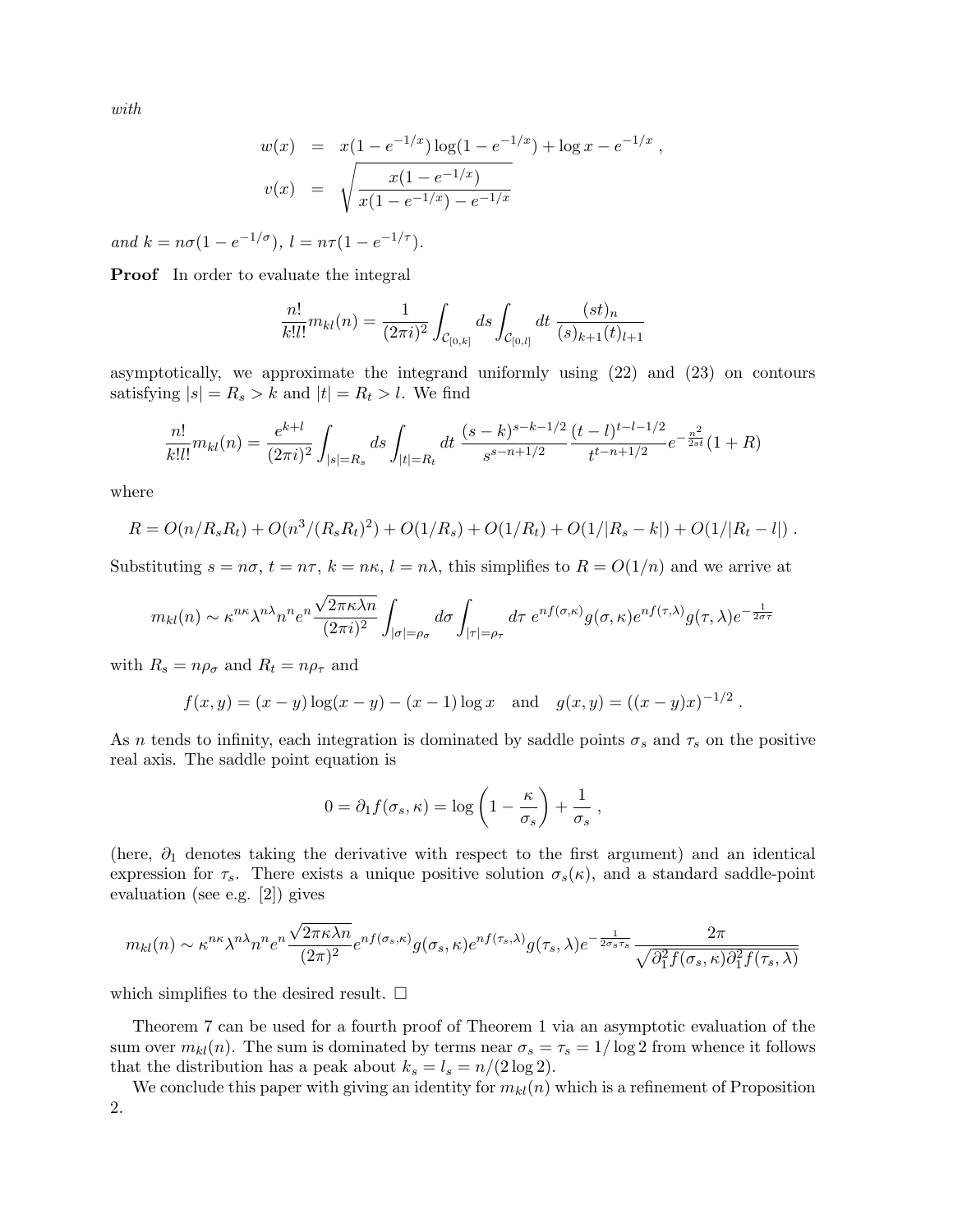with

$$
w(x) = x(1 - e^{-1/x}) \log(1 - e^{-1/x}) + \log x - e^{-1/x},
$$
  

$$
v(x) = \sqrt{\frac{x(1 - e^{-1/x})}{x(1 - e^{-1/x}) - e^{-1/x}}}
$$

and  $k = n\sigma(1 - e^{-1/\sigma}), l = n\tau(1 - e^{-1/\tau}).$ 

Proof In order to evaluate the integral

$$
\frac{n!}{k!l!}m_{kl}(n) = \frac{1}{(2\pi i)^2} \int_{\mathcal{C}_{[0,k]}} ds \int_{\mathcal{C}_{[0,l]}} dt \; \frac{(st)_n}{(s)_{k+1}(t)_{l+1}}
$$

asymptotically, we approximate the integrand uniformly using (22) and (23) on contours satisfying  $|s| = R_s > k$  and  $|t| = R_t > l$ . We find

$$
\frac{n!}{k!l!}m_{kl}(n) = \frac{e^{k+l}}{(2\pi i)^2} \int_{|s|=R_s} ds \int_{|t|=R_t} dt \; \frac{(s-k)^{s-k-1/2}}{s^{s-n+1/2}} \frac{(t-l)^{t-l-1/2}}{t^{t-n+1/2}} e^{-\frac{n^2}{2st}} (1+R)
$$

where

$$
R = O(n/R_sR_t) + O(n^3/(R_sR_t)^2) + O(1/R_s) + O(1/R_t) + O(1/|R_s - k|) + O(1/|R_t - l|).
$$

Substituting  $s = n\sigma$ ,  $t = n\tau$ ,  $k = n\kappa$ ,  $l = n\lambda$ , this simplifies to  $R = O(1/n)$  and we arrive at

$$
m_{kl}(n) \sim \kappa^{n\kappa} \lambda^{n\lambda} n^n e^{n \frac{\sqrt{2\pi \kappa \lambda n}}{(2\pi i)^2}} \int_{|\sigma|=\rho_{\sigma}} d\sigma \int_{|\tau|=\rho_{\tau}} d\tau \ e^{n f(\sigma,\kappa)} g(\sigma,\kappa) e^{n f(\tau,\lambda)} g(\tau,\lambda) e^{-\frac{1}{2\sigma \tau}}
$$

with  $R_s = n\rho_\sigma$  and  $R_t = n\rho_\tau$  and

$$
f(x,y) = (x - y) \log(x - y) - (x - 1) \log x
$$
 and  $g(x,y) = ((x - y)x)^{-1/2}$ .

As n tends to infinity, each integration is dominated by saddle points  $\sigma_s$  and  $\tau_s$  on the positive real axis. The saddle point equation is

$$
0 = \partial_1 f(\sigma_s, \kappa) = \log \left( 1 - \frac{\kappa}{\sigma_s} \right) + \frac{1}{\sigma_s} ,
$$

(here,  $\partial_1$  denotes taking the derivative with respect to the first argument) and an identical expression for  $\tau_s$ . There exists a unique positive solution  $\sigma_s(\kappa)$ , and a standard saddle-point evaluation (see e.g. [2]) gives

$$
m_{kl}(n) \sim \kappa^{n\kappa} \lambda^{n\lambda} n^n e^{n \frac{\sqrt{2\pi \kappa \lambda n}}{(2\pi)^2}} e^{n f(\sigma_s, \kappa)} g(\sigma_s, \kappa) e^{n f(\tau_s, \lambda)} g(\tau_s, \lambda) e^{-\frac{1}{2\sigma_s \tau_s}} \frac{2\pi}{\sqrt{\partial_1^2 f(\sigma_s, \kappa) \partial_1^2 f(\tau_s, \lambda)}}
$$

which simplifies to the desired result.  $\square$ 

Theorem 7 can be used for a fourth proof of Theorem 1 via an asymptotic evaluation of the sum over  $m_{kl}(n)$ . The sum is dominated by terms near  $\sigma_s = \tau_s = 1/\log 2$  from whence it follows that the distribution has a peak about  $k_s = l_s = n/(2 \log 2)$ .

We conclude this paper with giving an identity for  $m_{kl}(n)$  which is a refinement of Proposition 2.